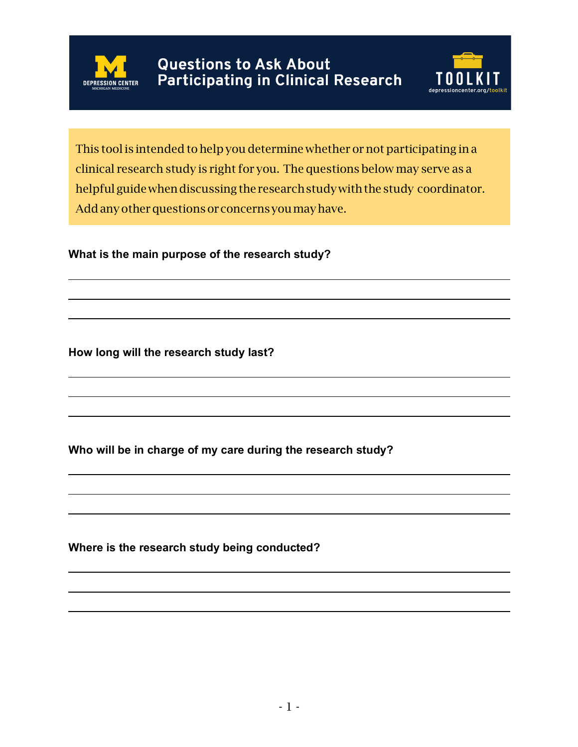



This tool is intended to help you determine whether or not participating in a clinical research study is right for you. The questions below may serve as a helpful guide when discussing the research study with the study coordinator. Add any other questions or concerns you may have.

**What is the main purpose of the research study?**

**How long will the research study last?**

**Who will be in charge of my care during the research study?**

**Where is the research study being conducted?**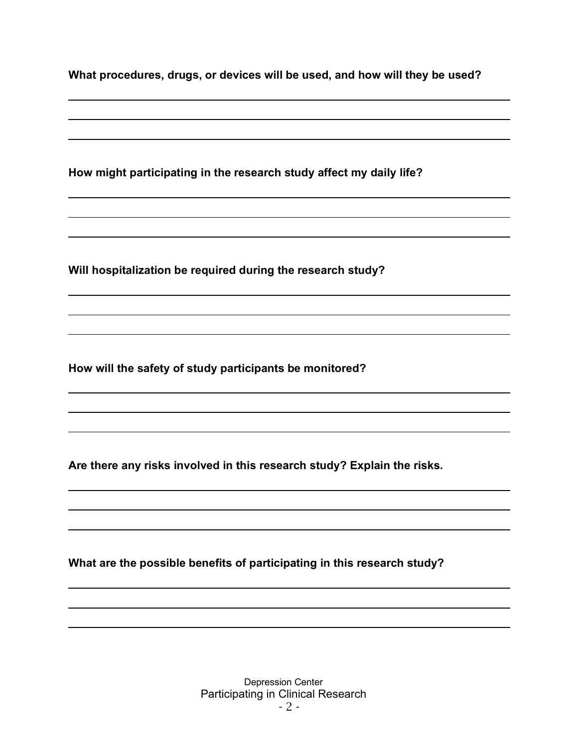| What procedures, drugs, or devices will be used, and how will they be used? |
|-----------------------------------------------------------------------------|
|-----------------------------------------------------------------------------|

**How might participating in the research study affect my daily life?**

**Will hospitalization be required during the research study?**

**How will the safety of study participants be monitored?**

**Are there any risks involved in this research study? Explain the risks.**

**What are the possible benefits of participating in this research study?**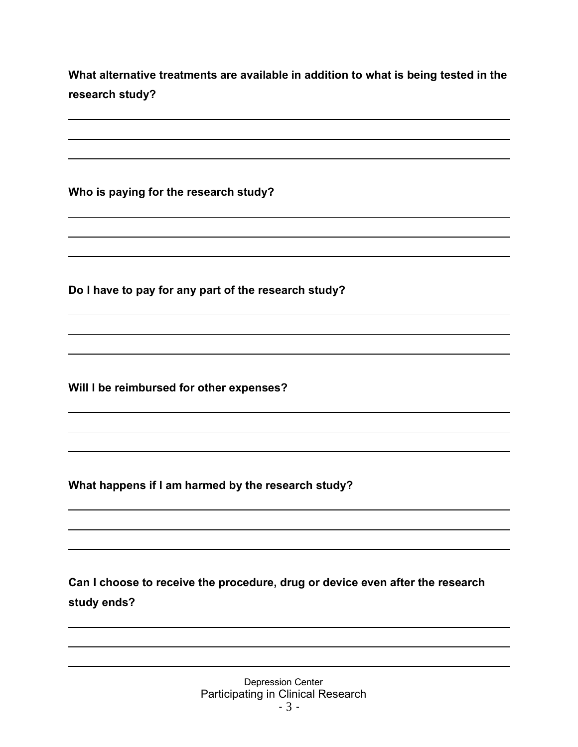**What alternative treatments are available in addition to what is being tested in the research study?**

**Who is paying for the research study?**

**Do I have to pay for any part of the research study?**

**Will I be reimbursed for other expenses?**

**What happens if I am harmed by the research study?**

**Can I choose to receive the procedure, drug or device even after the research study ends?**